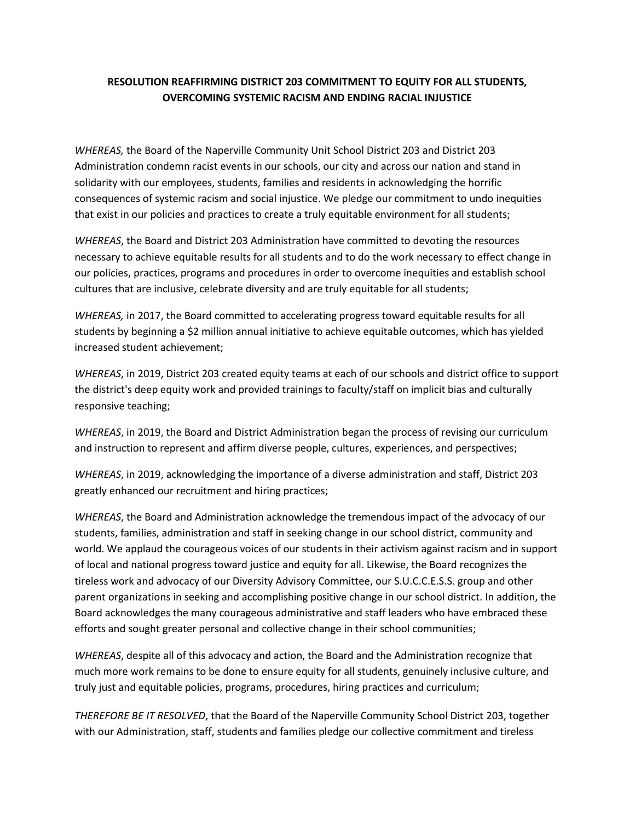## **RESOLUTION REAFFIRMING DISTRICT 203 COMMITMENT TO EQUITY FOR ALL STUDENTS, OVERCOMING SYSTEMIC RACISM AND ENDING RACIAL INJUSTICE**

*WHEREAS,* the Board of the Naperville Community Unit School District 203 and District 203 Administration condemn racist events in our schools, our city and across our nation and stand in solidarity with our employees, students, families and residents in acknowledging the horrific consequences of systemic racism and social injustice. We pledge our commitment to undo inequities that exist in our policies and practices to create a truly equitable environment for all students;

*WHEREAS*, the Board and District 203 Administration have committed to devoting the resources necessary to achieve equitable results for all students and to do the work necessary to effect change in our policies, practices, programs and procedures in order to overcome inequities and establish school cultures that are inclusive, celebrate diversity and are truly equitable for all students;

*WHEREAS,* in 2017, the Board committed to accelerating progress toward equitable results for all students by beginning a \$2 million annual initiative to achieve equitable outcomes, which has yielded increased student achievement;

*WHEREAS*, in 2019, District 203 created equity teams at each of our schools and district office to support the district's deep equity work and provided trainings to faculty/staff on implicit bias and culturally responsive teaching;

*WHEREAS*, in 2019, the Board and District Administration began the process of revising our curriculum and instruction to represent and affirm diverse people, cultures, experiences, and perspectives;

*WHEREAS*, in 2019, acknowledging the importance of a diverse administration and staff, District 203 greatly enhanced our recruitment and hiring practices;

*WHEREAS*, the Board and Administration acknowledge the tremendous impact of the advocacy of our students, families, administration and staff in seeking change in our school district, community and world. We applaud the courageous voices of our students in their activism against racism and in support of local and national progress toward justice and equity for all. Likewise, the Board recognizes the tireless work and advocacy of our Diversity Advisory Committee, our S.U.C.C.E.S.S. group and other parent organizations in seeking and accomplishing positive change in our school district. In addition, the Board acknowledges the many courageous administrative and staff leaders who have embraced these efforts and sought greater personal and collective change in their school communities;

*WHEREAS*, despite all of this advocacy and action, the Board and the Administration recognize that much more work remains to be done to ensure equity for all students, genuinely inclusive culture, and truly just and equitable policies, programs, procedures, hiring practices and curriculum;

*THEREFORE BE IT RESOLVED*, that the Board of the Naperville Community School District 203, together with our Administration, staff, students and families pledge our collective commitment and tireless